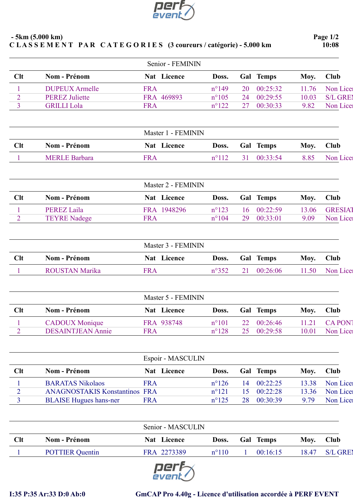

|                | $-5km(5.000 km)$<br>CLASSEMENT PAR CATEGORIES (3 coureurs / catégorie) - 5.000 km |                    |                |    |           |       | Page 1/2<br>10:08 |
|----------------|-----------------------------------------------------------------------------------|--------------------|----------------|----|-----------|-------|-------------------|
|                |                                                                                   | Senior - FEMININ   |                |    |           |       |                   |
| Clt            | <b>Nom - Prénom</b>                                                               | Nat Licence        | Doss.          |    | Gal Temps | Moy.  | Club              |
|                | <b>DUPEUX Armelle</b>                                                             | <b>FRA</b>         | $n^{\circ}149$ | 20 | 00:25:32  | 11.76 | Non Lice          |
| $\overline{2}$ | <b>PEREZ Juliette</b>                                                             | FRA 469893         | $n^{\circ}105$ | 24 | 00:29:55  | 10.03 | S/L GREI          |
| 3              | <b>GRILLI Lola</b>                                                                | <b>FRA</b>         | $n^{\circ}122$ | 27 | 00:30:33  | 9.82  | Non Lice          |
|                |                                                                                   | Master 1 - FEMININ |                |    |           |       |                   |
| Clt            | Nom - Prénom                                                                      | Nat Licence        | Doss.          |    | Gal Temps | Moy.  | <b>Club</b>       |
|                | <b>MERLE Barbara</b>                                                              | <b>FRA</b>         | $n^{\circ}112$ | 31 | 00:33:54  | 8.85  | Non Lice          |
|                |                                                                                   | Master 2 - FEMININ |                |    |           |       |                   |
| Clt            | <b>Nom - Prénom</b>                                                               | Nat Licence        | Doss.          |    | Gal Temps | Moy.  | <b>Club</b>       |
| $\perp$        | <b>PEREZ Laila</b>                                                                | FRA 1948296        | $n^{\circ}123$ | 16 | 00:22:59  | 13.06 | <b>GRESIAT</b>    |
| $\overline{2}$ | <b>TEYRE Nadege</b>                                                               | <b>FRA</b>         | $n^{\circ}104$ | 29 | 00:33:01  | 9.09  | Non Lice          |
|                |                                                                                   | Master 3 - FEMININ |                |    |           |       |                   |
| Clt            | <b>Nom - Prénom</b>                                                               | Nat Licence        | Doss.          |    | Gal Temps | Moy.  | <b>Club</b>       |
| 1              | <b>ROUSTAN Marika</b>                                                             | <b>FRA</b>         | $n^{\circ}352$ | 21 | 00:26:06  | 11.50 | Non Licer         |
|                |                                                                                   | Master 5 - FEMININ |                |    |           |       |                   |
| Clt            | <b>Nom - Prénom</b>                                                               | Nat Licence        | Doss.          |    | Gal Temps | Moy.  | <b>Club</b>       |
| 1              | <b>CADOUX</b> Monique                                                             | FRA 938748         | $n^{\circ}101$ | 22 | 00:26:46  | 11.21 | <b>CAPON</b>      |
| $\overline{2}$ | <b>DESAINTJEAN Annie</b>                                                          | <b>FRA</b>         | $n^{\circ}128$ | 25 | 00:29:58  | 10.01 | Non Lice          |
|                |                                                                                   | Espoir - MASCULIN  |                |    |           |       |                   |
|                |                                                                                   |                    |                |    |           |       |                   |

| Clt | <b>Nom - Prénom</b>                  | Nat Licence | Doss.          |    | Gal Temps           | Moy.  | <b>Club</b> |
|-----|--------------------------------------|-------------|----------------|----|---------------------|-------|-------------|
|     | <b>BARATAS Nikolaos</b>              | FR A        | $n^{\circ}126$ | 14 | 00:22:25            | 13.38 | Non Lice    |
|     | <b>ANAGNOSTAKIS Konstantinos FRA</b> |             | $n^{\circ}121$ |    | $15 \quad 00:22:28$ | 13.36 | Non Licen   |
|     | <b>BLAISE Hugues hans-ner</b>        | FRA         | $n^{\circ}125$ | 28 | 00:30:39            | 9.79  | Non Licer   |
|     |                                      |             |                |    |                     |       |             |

|            |                        |             | Senior - MASCULIN |  |                  |       |             |  |  |
|------------|------------------------|-------------|-------------------|--|------------------|-------|-------------|--|--|
| <b>Clt</b> | <b>Nom - Prénom</b>    | Nat Licence | Doss.             |  | <b>Gal Temps</b> | Mov.  | <b>Club</b> |  |  |
|            | <b>POTTIER Quentin</b> | FRA 2273389 | $n^{\circ}110$    |  | 00:16:15         | 18.47 | S/L GREI    |  |  |
|            |                        |             |                   |  |                  |       |             |  |  |



## I:35 P:35 Ar:33 D:0 Ab:0 GmCAP Pro 4.40g - Licence d'utilisation accordée à PERF EVENT